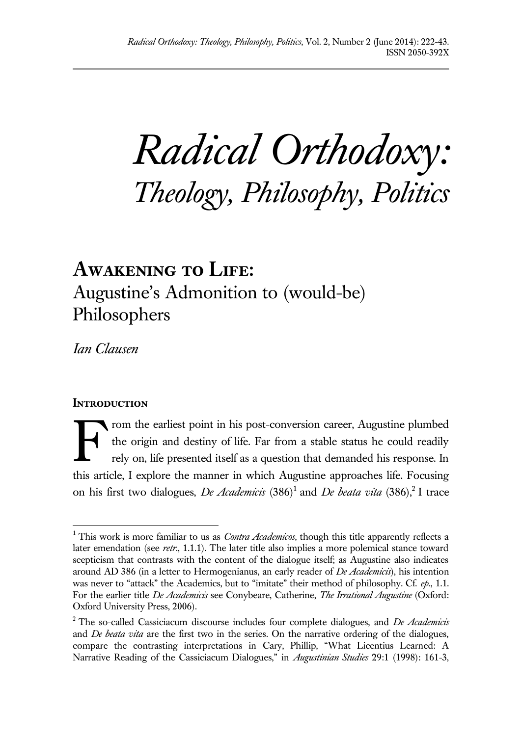*Radical Orthodoxy: Theology, Philosophy, Politics*

# **Awakening to Life:**  Augustine's Admonition to (would-be) Philosophers

*Ian Clausen*

# **INTRODUCTION**

 $\overline{a}$ 

rom the earliest point in his post-conversion career, Augustine plumbed the origin and destiny of life. Far from a stable status he could readily rely on, life presented itself as a question that demanded his response. In this article, I explore the manner in which Augustine approaches life. Focusing on his first two dialogues, *De Academicis* (386)<sup>1</sup> and *De beata vita* (386),<sup>2</sup> I trace F

<sup>&</sup>lt;sup>1</sup> This work is more familiar to us as *Contra Academicos*, though this title apparently reflects a later emendation (see *retr*., 1.1.1). The later title also implies a more polemical stance toward scepticism that contrasts with the content of the dialogue itself; as Augustine also indicates around AD 386 (in a letter to Hermogenianus, an early reader of *De Academicis*), his intention was never to "attack" the Academics, but to "imitate" their method of philosophy. Cf. *ep*., 1.1. For the earlier title *De Academicis* see Conybeare, Catherine, *The Irrational Augustine* (Oxford: Oxford University Press, 2006).

<sup>2</sup> The so-called Cassiciacum discourse includes four complete dialogues, and *De Academicis* and *De beata vita* are the first two in the series. On the narrative ordering of the dialogues, compare the contrasting interpretations in Cary, Phillip, "What Licentius Learned: A Narrative Reading of the Cassiciacum Dialogues," in *Augustinian Studies* 29:1 (1998): 161-3,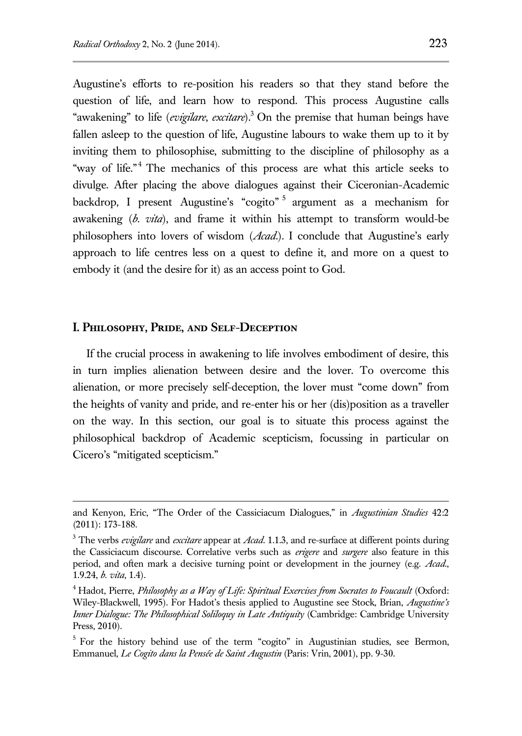Augustine's efforts to re-position his readers so that they stand before the question of life, and learn how to respond. This process Augustine calls "awakening" to life (*evigilare*, *excitare*).<sup>3</sup> On the premise that human beings have fallen asleep to the question of life, Augustine labours to wake them up to it by inviting them to philosophise, submitting to the discipline of philosophy as a "way of life."<sup>4</sup> The mechanics of this process are what this article seeks to divulge. After placing the above dialogues against their Ciceronian-Academic backdrop, I present Augustine's "cogito"<sup>5</sup> argument as a mechanism for awakening (*b. vita*), and frame it within his attempt to transform would-be philosophers into lovers of wisdom (*Acad*.). I conclude that Augustine's early approach to life centres less on a quest to define it, and more on a quest to embody it (and the desire for it) as an access point to God.

#### **I. Philosophy, Pride, and Self-Deception**

 $\overline{a}$ 

If the crucial process in awakening to life involves embodiment of desire, this in turn implies alienation between desire and the lover. To overcome this alienation, or more precisely self-deception, the lover must "come down" from the heights of vanity and pride, and re-enter his or her (dis)position as a traveller on the way. In this section, our goal is to situate this process against the philosophical backdrop of Academic scepticism, focussing in particular on Cicero's "mitigated scepticism."

and Kenyon, Eric, "The Order of the Cassiciacum Dialogues," in *Augustinian Studies* 42:2 (2011): 173-188.

<sup>3</sup> The verbs *evigilare* and *excitare* appear at *Acad*. 1.1.3, and re-surface at different points during the Cassiciacum discourse. Correlative verbs such as *erigere* and *surgere* also feature in this period, and often mark a decisive turning point or development in the journey (e.g. *Acad*., 1.9.24, *b. vita*, 1.4).

<sup>&</sup>lt;sup>4</sup> Hadot, Pierre, *Philosophy as a Way of Life: Spiritual Exercises from Socrates to Foucault* (Oxford: Wiley-Blackwell, 1995). For Hadot's thesis applied to Augustine see Stock, Brian, *Augustine's Inner Dialogue: The Philosophical Soliloquy in Late Antiquity* (Cambridge: Cambridge University Press, 2010).

<sup>&</sup>lt;sup>5</sup> For the history behind use of the term "cogito" in Augustinian studies, see Bermon, Emmanuel, *Le Cogito dans la Pensée de Saint Augustin* (Paris: Vrin, 2001), pp. 9-30.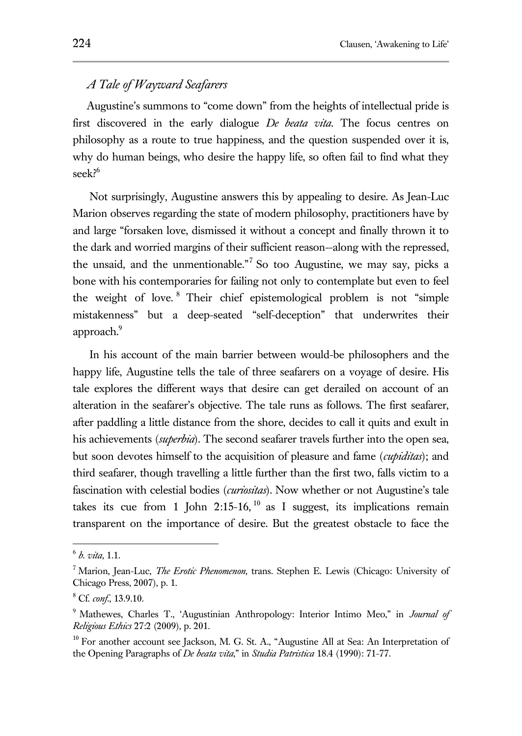# *A Tale of Wayward Seafarers*

Augustine's summons to "come down" from the heights of intellectual pride is first discovered in the early dialogue *De beata vita*. The focus centres on philosophy as a route to true happiness, and the question suspended over it is, why do human beings, who desire the happy life, so often fail to find what they seek?<sup>6</sup>

Not surprisingly, Augustine answers this by appealing to desire. As Jean-Luc Marion observes regarding the state of modern philosophy, practitioners have by and large "forsaken love, dismissed it without a concept and finally thrown it to the dark and worried margins of their sufficient reason--along with the repressed, the unsaid, and the unmentionable."<sup>7</sup> So too Augustine, we may say, picks a bone with his contemporaries for failing not only to contemplate but even to feel the weight of love. <sup>8</sup> Their chief epistemological problem is not "simple mistakenness" but a deep-seated "self-deception" that underwrites their approach.<sup>9</sup>

In his account of the main barrier between would-be philosophers and the happy life, Augustine tells the tale of three seafarers on a voyage of desire. His tale explores the different ways that desire can get derailed on account of an alteration in the seafarer's objective. The tale runs as follows. The first seafarer, after paddling a little distance from the shore, decides to call it quits and exult in his achievements (*superbia*). The second seafarer travels further into the open sea, but soon devotes himself to the acquisition of pleasure and fame (*cupiditas*); and third seafarer, though travelling a little further than the first two, falls victim to a fascination with celestial bodies (*curiositas*). Now whether or not Augustine's tale takes its cue from 1 John 2:15-16,  $10$  as I suggest, its implications remain transparent on the importance of desire. But the greatest obstacle to face the

 6 *b. vita*, 1.1.

<sup>7</sup> Marion, Jean-Luc, *The Erotic Phenomenon*, trans. Stephen E. Lewis (Chicago: University of Chicago Press, 2007), p. 1.

<sup>8</sup> Cf. *conf*., 13.9.10.

<sup>9</sup> Mathewes, Charles T., 'Augustinian Anthropology: Interior Intimo Meo," in *Journal of Religious Ethics* 27:2 (2009), p. 201.

 $10$  For another account see Jackson, M. G. St. A., "Augustine All at Sea: An Interpretation of the Opening Paragraphs of *De beata vita*," in *Studia Patristica* 18.4 (1990): 71-77.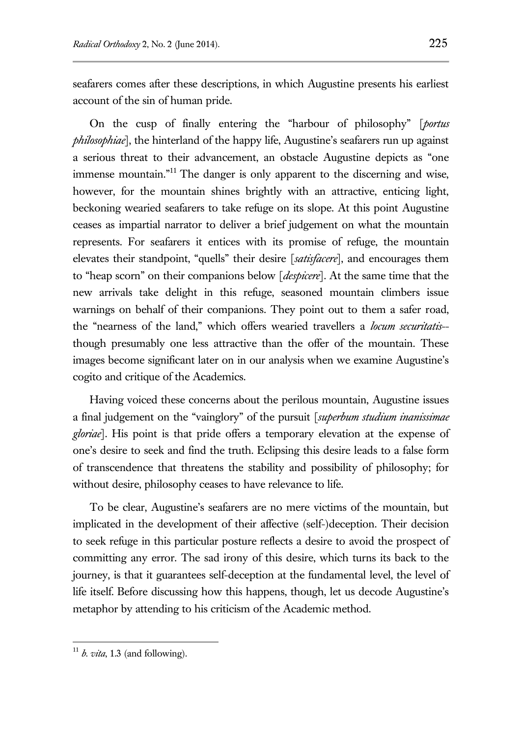seafarers comes after these descriptions, in which Augustine presents his earliest account of the sin of human pride.

On the cusp of finally entering the "harbour of philosophy" [*portus philosophiae*], the hinterland of the happy life, Augustine's seafarers run up against a serious threat to their advancement, an obstacle Augustine depicts as "one immense mountain."<sup>11</sup> The danger is only apparent to the discerning and wise, however, for the mountain shines brightly with an attractive, enticing light, beckoning wearied seafarers to take refuge on its slope. At this point Augustine ceases as impartial narrator to deliver a brief judgement on what the mountain represents. For seafarers it entices with its promise of refuge, the mountain elevates their standpoint, "quells" their desire [*satisfacere*], and encourages them to "heap scorn" on their companions below [*despicere*]. At the same time that the new arrivals take delight in this refuge, seasoned mountain climbers issue warnings on behalf of their companions. They point out to them a safer road, the "nearness of the land," which offers wearied travellers a *locum securitatis*- though presumably one less attractive than the offer of the mountain. These images become significant later on in our analysis when we examine Augustine's cogito and critique of the Academics.

Having voiced these concerns about the perilous mountain, Augustine issues a final judgement on the "vainglory" of the pursuit [*superbum studium inanissimae gloriae*]. His point is that pride offers a temporary elevation at the expense of one's desire to seek and find the truth. Eclipsing this desire leads to a false form of transcendence that threatens the stability and possibility of philosophy; for without desire, philosophy ceases to have relevance to life.

To be clear, Augustine's seafarers are no mere victims of the mountain, but implicated in the development of their affective (self-)deception. Their decision to seek refuge in this particular posture reflects a desire to avoid the prospect of committing any error. The sad irony of this desire, which turns its back to the journey, is that it guarantees self-deception at the fundamental level, the level of life itself. Before discussing how this happens, though, let us decode Augustine's metaphor by attending to his criticism of the Academic method.

 $11$  *b. vita*, 1.3 (and following).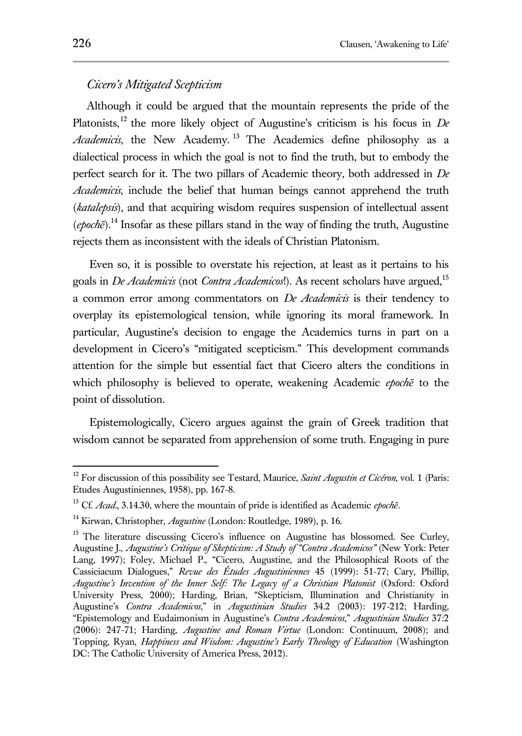## *Cicero's Mitigated Scepticism*

Although it could be argued that the mountain represents the pride of the Platonists,<sup>12</sup> the more likely object of Augustine's criticism is his focus in *De Academicis*, the New Academy. <sup>13</sup> The Academics define philosophy as a dialectical process in which the goal is not to find the truth, but to embody the perfect search for it. The two pillars of Academic theory, both addressed in *De Academicis*, include the belief that human beings cannot apprehend the truth (*katalepsis*), and that acquiring wisdom requires suspension of intellectual assent  $(epcch\bar{e})$ <sup>14</sup> Insofar as these pillars stand in the way of finding the truth, Augustine rejects them as inconsistent with the ideals of Christian Platonism.

Even so, it is possible to overstate his rejection, at least as it pertains to his goals in *De Academicis* (not *Contra Academicos*!). As recent scholars have argued,<sup>15</sup> a common error among commentators on *De Academicis* is their tendency to overplay its epistemological tension, while ignoring its moral framework. In particular, Augustine's decision to engage the Academics turns in part on a development in Cicero's "mitigated scepticism." This development commands attention for the simple but essential fact that Cicero alters the conditions in which philosophy is believed to operate, weakening Academic *epochē* to the point of dissolution.

Epistemologically, Cicero argues against the grain of Greek tradition that wisdom cannot be separated from apprehension of some truth. Engaging in pure

<sup>12</sup> For discussion of this possibility see Testard, Maurice, *Saint Augustin et Cicéron,* vol. 1 (Paris: Etudes Augustiniennes, 1958), pp. 167-8.

<sup>13</sup> Cf. *Acad*., 3.14.30, where the mountain of pride is identified as Academic *epochē*.

<sup>14</sup> Kirwan, Christopher, *Augustine* (London: Routledge, 1989), p. 16.

<sup>&</sup>lt;sup>15</sup> The literature discussing Cicero's influence on Augustine has blossomed. See Curley, Augustine J., *Augustine's Critique of Skepticism: A Study of "Contra Academicos"* (New York: Peter Lang, 1997); Foley, Michael P., "Cicero, Augustine, and the Philosophical Roots of the Cassiciacum Dialogues," *Revue des Études Augustiniennes* 45 (1999): 51-77; Cary, Phillip, *Augustine's Invention of the Inner Self: The Legacy of a Christian Platonist* (Oxford: Oxford University Press, 2000); Harding, Brian, "Skepticism, Illumination and Christianity in Augustine's *Contra Academicos*," in *Augustinian Studies* 34.2 (2003): 197-212; Harding, "Epistemology and Eudaimonism in Augustine's *Contra Academicos*," *Augustinian Studies* 37:2 (2006): 247-71; Harding, *Augustine and Roman Virtue* (London: Continuum, 2008); and Topping, Ryan, *Happiness and Wisdom: Augustine's Early Theology of Education* (Washington DC: The Catholic University of America Press, 2012).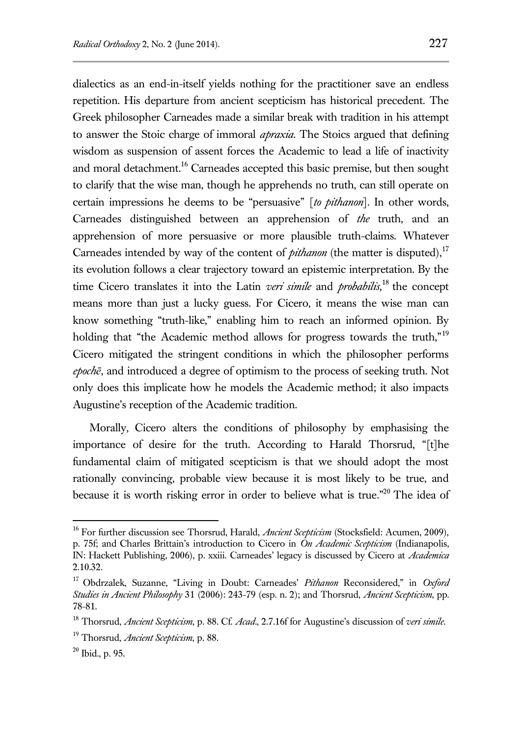dialectics as an end-in-itself yields nothing for the practitioner save an endless repetition. His departure from ancient scepticism has historical precedent. The Greek philosopher Carneades made a similar break with tradition in his attempt to answer the Stoic charge of immoral *apraxia*. The Stoics argued that defining wisdom as suspension of assent forces the Academic to lead a life of inactivity and moral detachment.<sup>16</sup> Carneades accepted this basic premise, but then sought to clarify that the wise man, though he apprehends no truth, can still operate on certain impressions he deems to be "persuasive" [*to pithanon*]. In other words, Carneades distinguished between an apprehension of *the* truth, and an apprehension of more persuasive or more plausible truth-claims. Whatever Carneades intended by way of the content of *pithanon* (the matter is disputed),<sup>17</sup> its evolution follows a clear trajectory toward an epistemic interpretation. By the time Cicero translates it into the Latin *veri simile* and *probabilis*, <sup>18</sup> the concept means more than just a lucky guess. For Cicero, it means the wise man can know something "truth-like," enabling him to reach an informed opinion. By holding that "the Academic method allows for progress towards the truth,"<sup>19</sup> Cicero mitigated the stringent conditions in which the philosopher performs *epochē*, and introduced a degree of optimism to the process of seeking truth. Not only does this implicate how he models the Academic method; it also impacts Augustine's reception of the Academic tradition.

Morally, Cicero alters the conditions of philosophy by emphasising the importance of desire for the truth. According to Harald Thorsrud, "[t]he fundamental claim of mitigated scepticism is that we should adopt the most rationally convincing, probable view because it is most likely to be true, and because it is worth risking error in order to believe what is true."<sup>20</sup> The idea of

<sup>16</sup> For further discussion see Thorsrud, Harald, *Ancient Scepticism* (Stocksfield: Acumen, 2009), p. 75f; and Charles Brittain's introduction to Cicero in *On Academic Scepticism* (Indianapolis, IN: Hackett Publishing, 2006), p. xxiii. Carneades' legacy is discussed by Cicero at *Academica* 2.10.32.

<sup>17</sup> Obdrzalek, Suzanne, "Living in Doubt: Carneades' *Pithanon* Reconsidered," in *Oxford Studies in Ancient Philosophy* 31 (2006): 243-79 (esp. n. 2); and Thorsrud, *Ancient Scepticism*, pp. 78-81.

<sup>18</sup> Thorsrud, *Ancient Scepticism*, p. 88. Cf. *Acad*., 2.7.16f for Augustine's discussion of *veri simile*.

<sup>19</sup> Thorsrud, *Ancient Scepticism*, p. 88.

 $20$  Ibid., p. 95.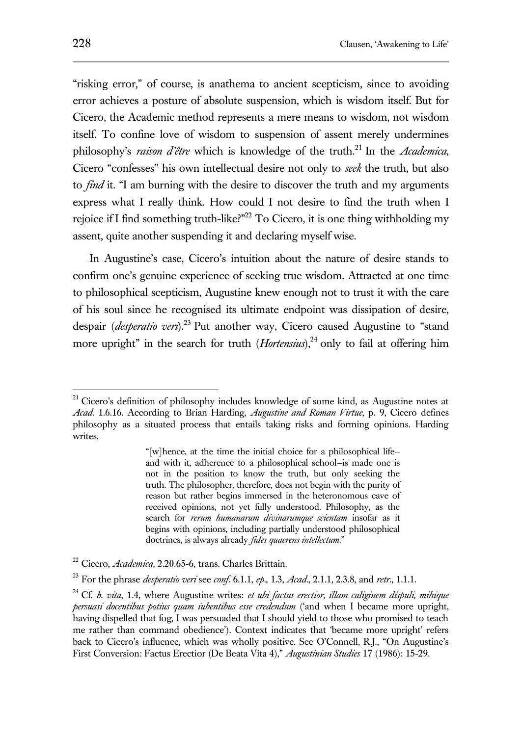"risking error," of course, is anathema to ancient scepticism, since to avoiding error achieves a posture of absolute suspension, which is wisdom itself. But for Cicero, the Academic method represents a mere means to wisdom, not wisdom itself. To confine love of wisdom to suspension of assent merely undermines philosophy's *raison d'être* which is knowledge of the truth.<sup>21</sup> In the *Academica*, Cicero "confesses" his own intellectual desire not only to *seek* the truth, but also to *find* it. "I am burning with the desire to discover the truth and my arguments express what I really think. How could I not desire to find the truth when I rejoice if I find something truth-like?"<sup>22</sup> To Cicero, it is one thing withholding my assent, quite another suspending it and declaring myself wise.

In Augustine's case, Cicero's intuition about the nature of desire stands to confirm one's genuine experience of seeking true wisdom. Attracted at one time to philosophical scepticism, Augustine knew enough not to trust it with the care of his soul since he recognised its ultimate endpoint was dissipation of desire, despair (*desperatio veri*).<sup>23</sup> Put another way, Cicero caused Augustine to "stand more upright" in the search for truth (*Hortensius*),<sup>24</sup> only to fail at offering him

 $21$  Cicero's definition of philosophy includes knowledge of some kind, as Augustine notes at *Acad*. 1.6.16. According to Brian Harding, *Augustine and Roman Virtue*, p. 9, Cicero defines philosophy as a situated process that entails taking risks and forming opinions. Harding writes,

<sup>&</sup>quot;[w]hence, at the time the initial choice for a philosophical life and with it, adherence to a philosophical school—is made one is not in the position to know the truth, but only seeking the truth. The philosopher, therefore, does not begin with the purity of reason but rather begins immersed in the heteronomous cave of received opinions, not yet fully understood. Philosophy, as the search for *rerum humanarum divinarumque scientam* insofar as it begins with opinions, including partially understood philosophical doctrines, is always already *fides quaerens intellectum*."

<sup>22</sup> Cicero, *Academica*, 2.20.65-6, trans. Charles Brittain.

<sup>23</sup> For the phrase *desperatio veri* see *conf*. 6.1.1, *ep*., 1.3, *Acad*., 2.1.1, 2.3.8, and *retr*., 1.1.1.

<sup>24</sup> Cf. *b. vita*, 1.4, where Augustine writes: *et ubi factus erectior, illam caliginem dispuli, mihique persuasi docentibus potius quam iubentibus esse credendum* ('and when I became more upright, having dispelled that fog, I was persuaded that I should yield to those who promised to teach me rather than command obedience'). Context indicates that 'became more upright' refers back to Cicero's influence, which was wholly positive. See O'Connell, R.J., "On Augustine's First Conversion: Factus Erectior (De Beata Vita 4)," *Augustinian Studies* 17 (1986): 15-29.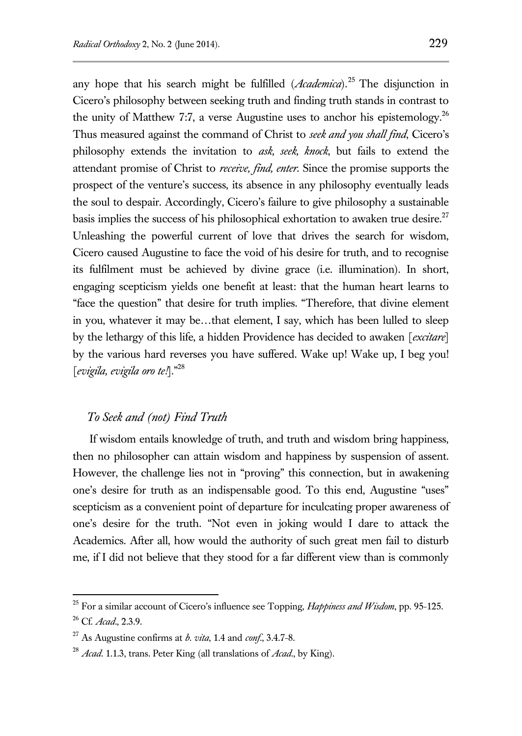any hope that his search might be fulfilled (*Academica*).<sup>25</sup> The disjunction in Cicero's philosophy between seeking truth and finding truth stands in contrast to the unity of Matthew 7:7, a verse Augustine uses to anchor his epistemology.<sup>26</sup> Thus measured against the command of Christ to *seek and you shall find*, Cicero's philosophy extends the invitation to *ask, seek, knock*, but fails to extend the attendant promise of Christ to *receive, find, enter*. Since the promise supports the prospect of the venture's success, its absence in any philosophy eventually leads the soul to despair. Accordingly, Cicero's failure to give philosophy a sustainable basis implies the success of his philosophical exhortation to awaken true desire.<sup>27</sup> Unleashing the powerful current of love that drives the search for wisdom, Cicero caused Augustine to face the void of his desire for truth, and to recognise its fulfilment must be achieved by divine grace (i.e. illumination). In short, engaging scepticism yields one benefit at least: that the human heart learns to "face the question" that desire for truth implies. "Therefore, that divine element in you, whatever it may be…that element, I say, which has been lulled to sleep by the lethargy of this life, a hidden Providence has decided to awaken [*excitare*] by the various hard reverses you have suffered. Wake up! Wake up, I beg you! [*evigila, evigila oro te!*]."<sup>28</sup>

## *To Seek and (not) Find Truth*

 $\overline{a}$ 

If wisdom entails knowledge of truth, and truth and wisdom bring happiness, then no philosopher can attain wisdom and happiness by suspension of assent. However, the challenge lies not in "proving" this connection, but in awakening one's desire for truth as an indispensable good. To this end, Augustine "uses" scepticism as a convenient point of departure for inculcating proper awareness of one's desire for the truth. "Not even in joking would I dare to attack the Academics. After all, how would the authority of such great men fail to disturb me, if I did not believe that they stood for a far different view than is commonly

<sup>25</sup> For a similar account of Cicero's influence see Topping, *Happiness and Wisdom*, pp. 95-125. <sup>26</sup> Cf. *Acad*., 2.3.9.

<sup>27</sup> As Augustine confirms at *b. vita*, 1.4 and *conf*., 3.4.7-8.

<sup>28</sup> *Acad*. 1.1.3, trans. Peter King (all translations of *Acad*., by King).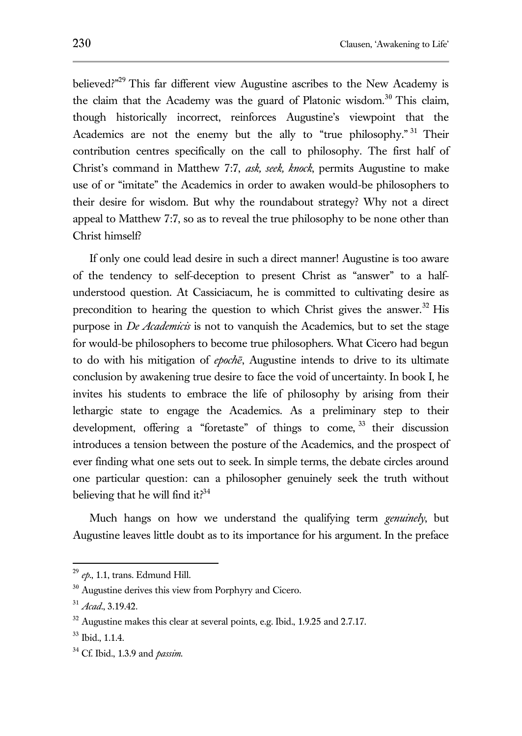believed?"<sup>29</sup> This far different view Augustine ascribes to the New Academy is the claim that the Academy was the guard of Platonic wisdom.<sup>30</sup> This claim, though historically incorrect, reinforces Augustine's viewpoint that the Academics are not the enemy but the ally to "true philosophy."<sup>31</sup> Their contribution centres specifically on the call to philosophy. The first half of Christ's command in Matthew 7:7, *ask, seek, knock*, permits Augustine to make use of or "imitate" the Academics in order to awaken would-be philosophers to their desire for wisdom. But why the roundabout strategy? Why not a direct appeal to Matthew 7:7, so as to reveal the true philosophy to be none other than Christ himself?

If only one could lead desire in such a direct manner! Augustine is too aware of the tendency to self-deception to present Christ as "answer" to a halfunderstood question. At Cassiciacum, he is committed to cultivating desire as precondition to hearing the question to which Christ gives the answer.<sup>32</sup> His purpose in *De Academicis* is not to vanquish the Academics, but to set the stage for would-be philosophers to become true philosophers. What Cicero had begun to do with his mitigation of *epochē*, Augustine intends to drive to its ultimate conclusion by awakening true desire to face the void of uncertainty. In book I, he invites his students to embrace the life of philosophy by arising from their lethargic state to engage the Academics. As a preliminary step to their development, offering a "foretaste" of things to come, 33 their discussion introduces a tension between the posture of the Academics, and the prospect of ever finding what one sets out to seek. In simple terms, the debate circles around one particular question: can a philosopher genuinely seek the truth without believing that he will find it? $34$ 

Much hangs on how we understand the qualifying term *genuinely*, but Augustine leaves little doubt as to its importance for his argument. In the preface

<sup>29</sup> *ep*., 1.1, trans. Edmund Hill.

<sup>&</sup>lt;sup>30</sup> Augustine derives this view from Porphyry and Cicero.

<sup>31</sup> *Acad*., 3.19.42.

 $32$  Augustine makes this clear at several points, e.g. Ibid., 1.9.25 and 2.7.17.

<sup>33</sup> Ibid., 1.1.4.

<sup>34</sup> Cf. Ibid., 1.3.9 and *passim*.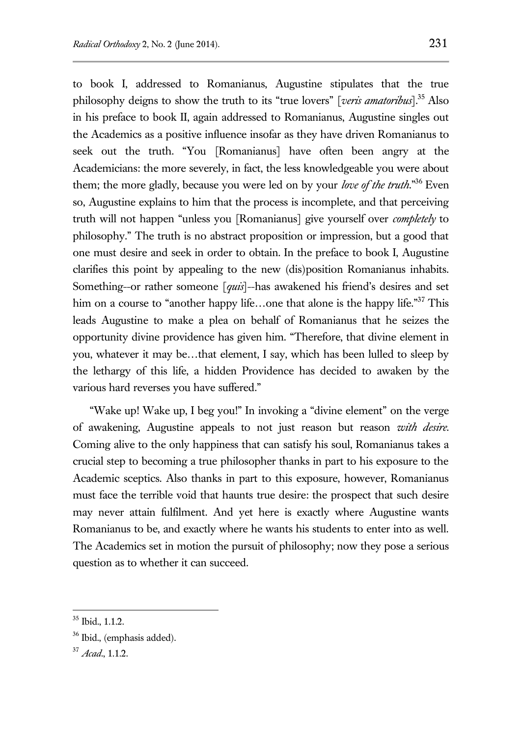to book I, addressed to Romanianus, Augustine stipulates that the true philosophy deigns to show the truth to its "true lovers" [*veris amatoribus*].<sup>35</sup> Also in his preface to book II, again addressed to Romanianus, Augustine singles out the Academics as a positive influence insofar as they have driven Romanianus to seek out the truth. "You [Romanianus] have often been angry at the Academicians: the more severely, in fact, the less knowledgeable you were about them; the more gladly, because you were led on by your *love of the truth*."<sup>36</sup> Even so, Augustine explains to him that the process is incomplete, and that perceiving truth will not happen "unless you [Romanianus] give yourself over *completely* to philosophy." The truth is no abstract proposition or impression, but a good that one must desire and seek in order to obtain. In the preface to book I, Augustine clarifies this point by appealing to the new (dis)position Romanianus inhabits. Something--or rather someone [*quis*]--has awakened his friend's desires and set him on a course to "another happy life...one that alone is the happy life."<sup>37</sup> This leads Augustine to make a plea on behalf of Romanianus that he seizes the opportunity divine providence has given him. "Therefore, that divine element in you, whatever it may be…that element, I say, which has been lulled to sleep by the lethargy of this life, a hidden Providence has decided to awaken by the various hard reverses you have suffered."

"Wake up! Wake up, I beg you!" In invoking a "divine element" on the verge of awakening, Augustine appeals to not just reason but reason *with desire*. Coming alive to the only happiness that can satisfy his soul, Romanianus takes a crucial step to becoming a true philosopher thanks in part to his exposure to the Academic sceptics. Also thanks in part to this exposure, however, Romanianus must face the terrible void that haunts true desire: the prospect that such desire may never attain fulfilment. And yet here is exactly where Augustine wants Romanianus to be, and exactly where he wants his students to enter into as well. The Academics set in motion the pursuit of philosophy; now they pose a serious question as to whether it can succeed.

 $35$  Ibid., 1.1.2.

<sup>36</sup> Ibid., (emphasis added).

<sup>37</sup> *Acad*., 1.1.2.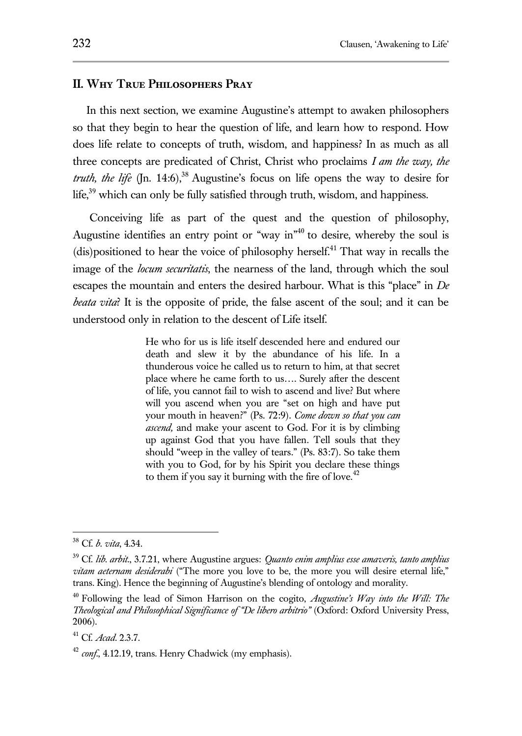#### **II. Why True Philosophers Pray**

In this next section, we examine Augustine's attempt to awaken philosophers so that they begin to hear the question of life, and learn how to respond. How does life relate to concepts of truth, wisdom, and happiness? In as much as all three concepts are predicated of Christ, Christ who proclaims *I am the way, the truth, the life* (Jn. 14:6),<sup>38</sup> Augustine's focus on life opens the way to desire for life,<sup>39</sup> which can only be fully satisfied through truth, wisdom, and happiness.

Conceiving life as part of the quest and the question of philosophy, Augustine identifies an entry point or "way in"<sup>40</sup> to desire, whereby the soul is (dis)positioned to hear the voice of philosophy herself. <sup>41</sup> That way in recalls the image of the *locum securitatis*, the nearness of the land, through which the soul escapes the mountain and enters the desired harbour. What is this "place" in *De beata vita*? It is the opposite of pride, the false ascent of the soul; and it can be understood only in relation to the descent of Life itself.

> He who for us is life itself descended here and endured our death and slew it by the abundance of his life. In a thunderous voice he called us to return to him, at that secret place where he came forth to us…. Surely after the descent of life, you cannot fail to wish to ascend and live? But where will you ascend when you are "set on high and have put your mouth in heaven?" (Ps. 72:9). *Come down so that you can ascend,* and make your ascent to God. For it is by climbing up against God that you have fallen*.* Tell souls that they should "weep in the valley of tears." (Ps. 83:7). So take them with you to God, for by his Spirit you declare these things to them if you say it burning with the fire of love.<sup>42</sup>

<sup>38</sup> Cf. *b. vita*, 4.34.

<sup>39</sup> Cf. *lib. arbit*., 3.7.21, where Augustine argues: *Quanto enim amplius esse amaveris, tanto amplius vitam aeternam desiderabi* ("The more you love to be, the more you will desire eternal life," trans. King). Hence the beginning of Augustine's blending of ontology and morality.

<sup>40</sup> Following the lead of Simon Harrison on the cogito, *Augustine's Way into the Will: The Theological and Philosophical Significance of "De libero arbitrio"* (Oxford: Oxford University Press, 2006).

<sup>41</sup> Cf. *Acad*. 2.3.7.

<sup>&</sup>lt;sup>42</sup> *conf.*, 4.12.19, trans. Henry Chadwick (my emphasis).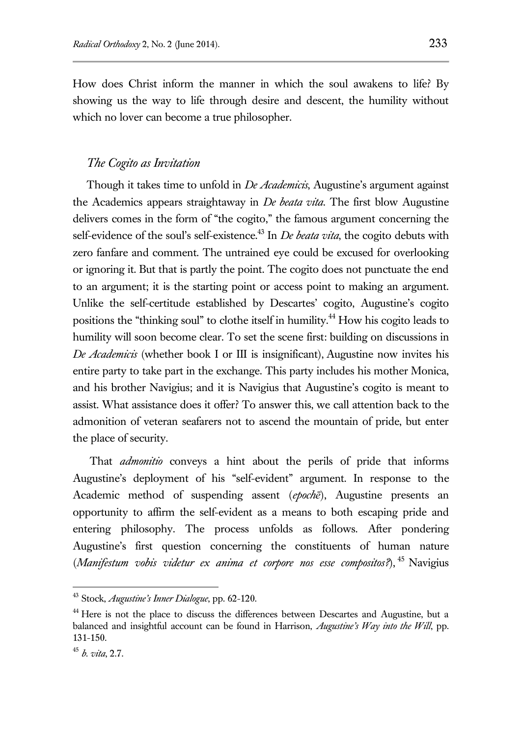How does Christ inform the manner in which the soul awakens to life? By showing us the way to life through desire and descent, the humility without which no lover can become a true philosopher.

## *The Cogito as Invitation*

Though it takes time to unfold in *De Academicis*, Augustine's argument against the Academics appears straightaway in *De beata vita*. The first blow Augustine delivers comes in the form of "the cogito," the famous argument concerning the self-evidence of the soul's self-existence.<sup>43</sup> In *De beata vita*, the cogito debuts with zero fanfare and comment. The untrained eye could be excused for overlooking or ignoring it. But that is partly the point. The cogito does not punctuate the end to an argument; it is the starting point or access point to making an argument. Unlike the self-certitude established by Descartes' cogito, Augustine's cogito positions the "thinking soul" to clothe itself in humility.<sup>44</sup> How his cogito leads to humility will soon become clear. To set the scene first: building on discussions in *De Academicis* (whether book I or III is insignificant), Augustine now invites his entire party to take part in the exchange. This party includes his mother Monica, and his brother Navigius; and it is Navigius that Augustine's cogito is meant to assist. What assistance does it offer? To answer this, we call attention back to the admonition of veteran seafarers not to ascend the mountain of pride, but enter the place of security.

That *admonitio* conveys a hint about the perils of pride that informs Augustine's deployment of his "self-evident" argument. In response to the Academic method of suspending assent (*epochē*), Augustine presents an opportunity to affirm the self-evident as a means to both escaping pride and entering philosophy. The process unfolds as follows. After pondering Augustine's first question concerning the constituents of human nature (*Manifestum vobis videtur ex anima et corpore nos esse compositos?*), <sup>45</sup> Navigius

<sup>43</sup> Stock, *Augustine's Inner Dialogue*, pp. 62-120.

<sup>&</sup>lt;sup>44</sup> Here is not the place to discuss the differences between Descartes and Augustine, but a balanced and insightful account can be found in Harrison, *Augustine's Way into the Will*, pp. 131-150.

<sup>45</sup> *b. vita*, 2.7.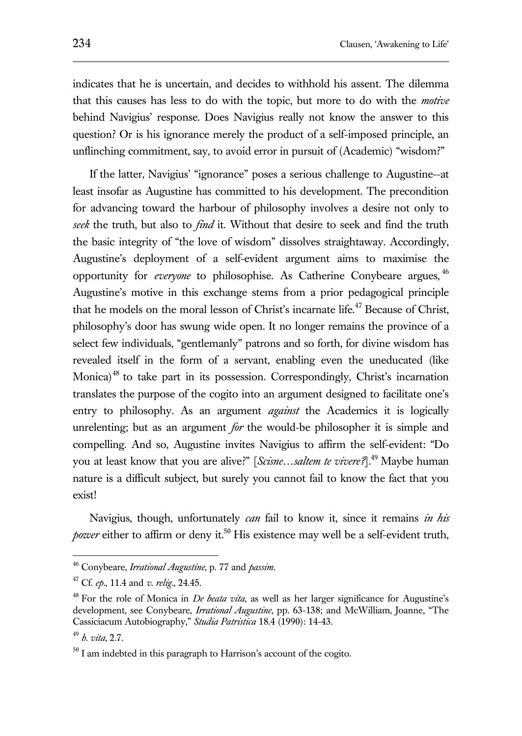indicates that he is uncertain, and decides to withhold his assent. The dilemma that this causes has less to do with the topic, but more to do with the *motive* behind Navigius' response. Does Navigius really not know the answer to this question? Or is his ignorance merely the product of a self-imposed principle, an unflinching commitment, say, to avoid error in pursuit of (Academic) "wisdom?"

If the latter, Navigius' "ignorance" poses a serious challenge to Augustine--at least insofar as Augustine has committed to his development. The precondition for advancing toward the harbour of philosophy involves a desire not only to *seek* the truth, but also to *find* it. Without that desire to seek and find the truth the basic integrity of "the love of wisdom" dissolves straightaway. Accordingly, Augustine's deployment of a self-evident argument aims to maximise the opportunity for *everyone* to philosophise. As Catherine Conybeare argues, <sup>46</sup> Augustine's motive in this exchange stems from a prior pedagogical principle that he models on the moral lesson of Christ's incarnate life.<sup>47</sup> Because of Christ. philosophy's door has swung wide open. It no longer remains the province of a select few individuals, "gentlemanly" patrons and so forth, for divine wisdom has revealed itself in the form of a servant, enabling even the uneducated (like Monica) $48$  to take part in its possession. Correspondingly, Christ's incarnation translates the purpose of the cogito into an argument designed to facilitate one's entry to philosophy. As an argument *against* the Academics it is logically unrelenting; but as an argument *for* the would-be philosopher it is simple and compelling. And so, Augustine invites Navigius to affirm the self-evident: "Do you at least know that you are alive?" [*Scisne...saltem te vivere?*].<sup>49</sup> Maybe human nature is a difficult subject, but surely you cannot fail to know the fact that you exist!

Navigius, though, unfortunately *can* fail to know it, since it remains *in his power* either to affirm or deny it.<sup>50</sup> His existence may well be a self-evident truth,

<sup>46</sup> Conybeare, *Irrational Augustine*, p. 77 and *passim*.

<sup>47</sup> Cf. *ep*., 11.4 and *v. relig*., 24.45.

<sup>48</sup> For the role of Monica in *De beata vita*, as well as her larger significance for Augustine's development, see Conybeare, *Irrational Augustine*, pp. 63-138; and McWilliam, Joanne, "The Cassiciacum Autobiography," *Studia Patristica* 18.4 (1990): 14-43.

<sup>49</sup> *b. vita*, 2.7.

 $50$  I am indebted in this paragraph to Harrison's account of the cogito.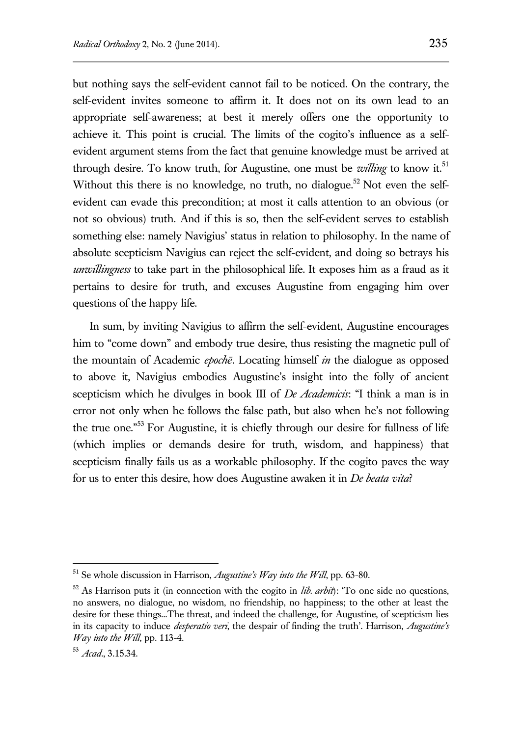but nothing says the self-evident cannot fail to be noticed. On the contrary, the self-evident invites someone to affirm it. It does not on its own lead to an appropriate self-awareness; at best it merely offers one the opportunity to achieve it. This point is crucial. The limits of the cogito's influence as a selfevident argument stems from the fact that genuine knowledge must be arrived at through desire. To know truth, for Augustine, one must be *willing* to know it.<sup>51</sup> Without this there is no knowledge, no truth, no dialogue.<sup>52</sup> Not even the selfevident can evade this precondition; at most it calls attention to an obvious (or not so obvious) truth. And if this is so, then the self-evident serves to establish something else: namely Navigius' status in relation to philosophy. In the name of absolute scepticism Navigius can reject the self-evident, and doing so betrays his *unwillingness* to take part in the philosophical life. It exposes him as a fraud as it pertains to desire for truth, and excuses Augustine from engaging him over questions of the happy life.

In sum, by inviting Navigius to affirm the self-evident, Augustine encourages him to "come down" and embody true desire, thus resisting the magnetic pull of the mountain of Academic *epochē*. Locating himself *in* the dialogue as opposed to above it, Navigius embodies Augustine's insight into the folly of ancient scepticism which he divulges in book III of *De Academicis*: "I think a man is in error not only when he follows the false path, but also when he's not following the true one."<sup>53</sup> For Augustine, it is chiefly through our desire for fullness of life (which implies or demands desire for truth, wisdom, and happiness) that scepticism finally fails us as a workable philosophy. If the cogito paves the way for us to enter this desire, how does Augustine awaken it in *De beata vita*?

<sup>51</sup> Se whole discussion in Harrison, *Augustine's Way into the Will*, pp. 63-80.

<sup>52</sup> As Harrison puts it (in connection with the cogito in *lib. arbit*): 'To one side no questions, no answers, no dialogue, no wisdom, no friendship, no happiness; to the other at least the desire for these things...The threat, and indeed the challenge, for Augustine, of scepticism lies in its capacity to induce *desperatio veri*, the despair of finding the truth'. Harrison, *Augustine's Way into the Will*, pp. 113-4.

<sup>53</sup> *Acad*., 3.15.34.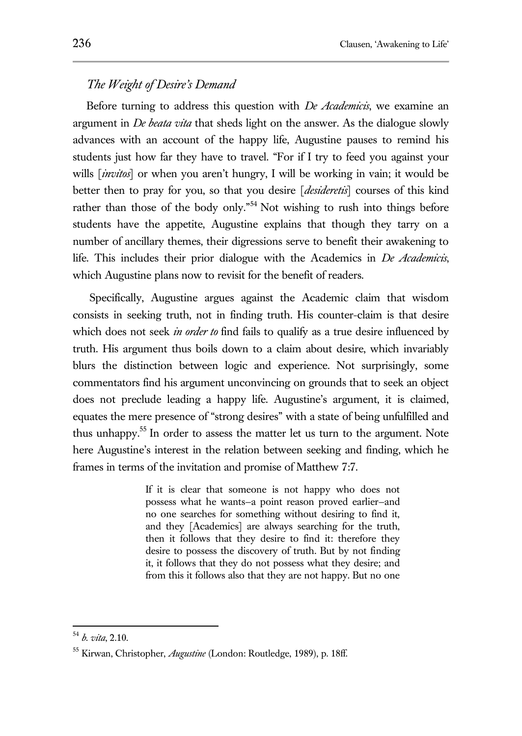# *The Weight of Desire's Demand*

Before turning to address this question with *De Academicis*, we examine an argument in *De beata vita* that sheds light on the answer. As the dialogue slowly advances with an account of the happy life, Augustine pauses to remind his students just how far they have to travel. "For if I try to feed you against your wills [*invitos*] or when you aren't hungry, I will be working in vain; it would be better then to pray for you, so that you desire [*desideretis*] courses of this kind rather than those of the body only."<sup>54</sup> Not wishing to rush into things before students have the appetite, Augustine explains that though they tarry on a number of ancillary themes, their digressions serve to benefit their awakening to life. This includes their prior dialogue with the Academics in *De Academicis*, which Augustine plans now to revisit for the benefit of readers.

Specifically, Augustine argues against the Academic claim that wisdom consists in seeking truth, not in finding truth. His counter-claim is that desire which does not seek *in order to* find fails to qualify as a true desire influenced by truth. His argument thus boils down to a claim about desire, which invariably blurs the distinction between logic and experience. Not surprisingly, some commentators find his argument unconvincing on grounds that to seek an object does not preclude leading a happy life. Augustine's argument, it is claimed, equates the mere presence of "strong desires" with a state of being unfulfilled and thus unhappy.<sup>55</sup> In order to assess the matter let us turn to the argument. Note here Augustine's interest in the relation between seeking and finding, which he frames in terms of the invitation and promise of Matthew 7:7.

> If it is clear that someone is not happy who does not possess what he wants—a point reason proved earlier—and no one searches for something without desiring to find it, and they [Academics] are always searching for the truth, then it follows that they desire to find it: therefore they desire to possess the discovery of truth. But by not finding it, it follows that they do not possess what they desire; and from this it follows also that they are not happy. But no one

<sup>54</sup> *b. vita*, 2.10.

<sup>55</sup> Kirwan, Christopher, *Augustine* (London: Routledge, 1989), p. 18ff.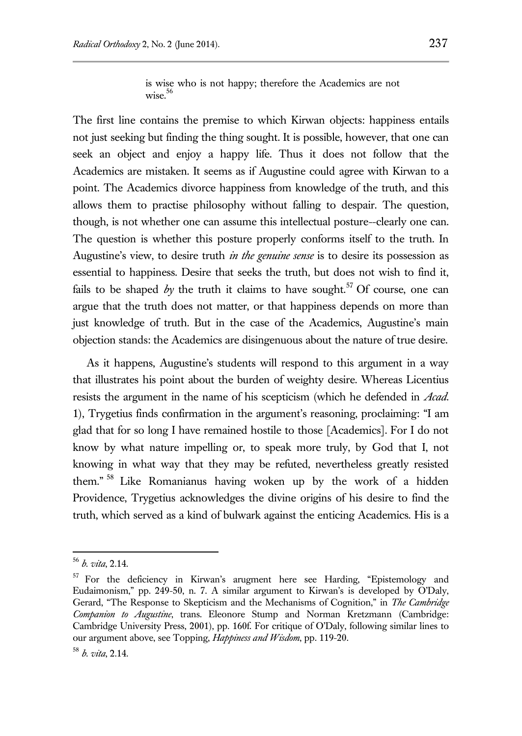is wise who is not happy; therefore the Academics are not wise. $56$ 

The first line contains the premise to which Kirwan objects: happiness entails not just seeking but finding the thing sought. It is possible, however, that one can seek an object and enjoy a happy life. Thus it does not follow that the Academics are mistaken. It seems as if Augustine could agree with Kirwan to a point. The Academics divorce happiness from knowledge of the truth, and this allows them to practise philosophy without falling to despair. The question, though, is not whether one can assume this intellectual posture--clearly one can. The question is whether this posture properly conforms itself to the truth. In Augustine's view, to desire truth *in the genuine sense* is to desire its possession as essential to happiness. Desire that seeks the truth, but does not wish to find it, fails to be shaped  $b\gamma$  the truth it claims to have sought.<sup>57</sup> Of course, one can argue that the truth does not matter, or that happiness depends on more than just knowledge of truth. But in the case of the Academics, Augustine's main objection stands: the Academics are disingenuous about the nature of true desire.

As it happens, Augustine's students will respond to this argument in a way that illustrates his point about the burden of weighty desire. Whereas Licentius resists the argument in the name of his scepticism (which he defended in *Acad*. 1), Trygetius finds confirmation in the argument's reasoning, proclaiming: "I am glad that for so long I have remained hostile to those [Academics]. For I do not know by what nature impelling or, to speak more truly, by God that I, not knowing in what way that they may be refuted, nevertheless greatly resisted them." <sup>58</sup> Like Romanianus having woken up by the work of a hidden Providence, Trygetius acknowledges the divine origins of his desire to find the truth, which served as a kind of bulwark against the enticing Academics. His is a

<sup>56</sup> *b. vita*, 2.14.

<sup>&</sup>lt;sup>57</sup> For the deficiency in Kirwan's arugment here see Harding, "Epistemology and Eudaimonism," pp. 249-50, n. 7. A similar argument to Kirwan's is developed by O'Daly, Gerard, "The Response to Skepticism and the Mechanisms of Cognition," in *The Cambridge Companion to Augustine*, trans. Eleonore Stump and Norman Kretzmann (Cambridge: Cambridge University Press, 2001), pp. 160f. For critique of O'Daly, following similar lines to our argument above, see Topping, *Happiness and Wisdom*, pp. 119-20.

<sup>58</sup> *b. vita*, 2.14.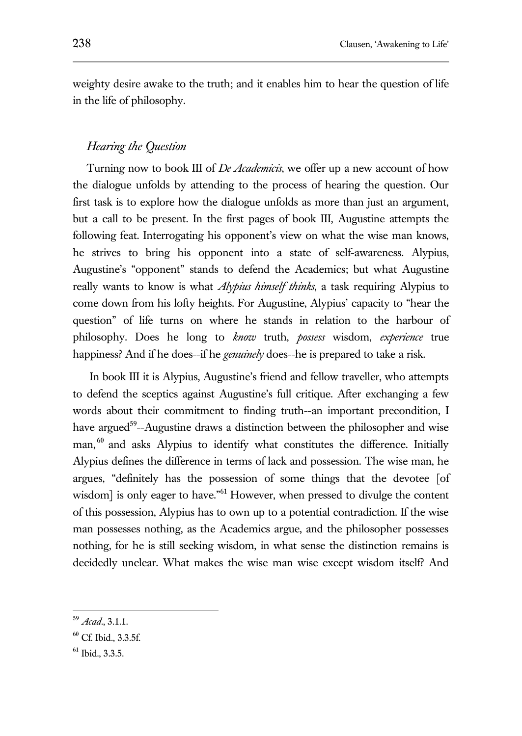weighty desire awake to the truth; and it enables him to hear the question of life in the life of philosophy.

## *Hearing the Question*

Turning now to book III of *De Academicis*, we offer up a new account of how the dialogue unfolds by attending to the process of hearing the question. Our first task is to explore how the dialogue unfolds as more than just an argument, but a call to be present. In the first pages of book III, Augustine attempts the following feat. Interrogating his opponent's view on what the wise man knows, he strives to bring his opponent into a state of self-awareness. Alypius, Augustine's "opponent" stands to defend the Academics; but what Augustine really wants to know is what *Alypius himself thinks*, a task requiring Alypius to come down from his lofty heights. For Augustine, Alypius' capacity to "hear the question" of life turns on where he stands in relation to the harbour of philosophy. Does he long to *know* truth, *possess* wisdom, *experience* true happiness? And if he does--if he *genuinely* does--he is prepared to take a risk.

In book III it is Alypius, Augustine's friend and fellow traveller, who attempts to defend the sceptics against Augustine's full critique. After exchanging a few words about their commitment to finding truth--an important precondition, I have argued<sup>59</sup>--Augustine draws a distinction between the philosopher and wise man,<sup>60</sup> and asks Alypius to identify what constitutes the difference. Initially Alypius defines the difference in terms of lack and possession. The wise man, he argues, "definitely has the possession of some things that the devotee [of wisdom] is only eager to have."<sup>61</sup> However, when pressed to divulge the content of this possession, Alypius has to own up to a potential contradiction. If the wise man possesses nothing, as the Academics argue, and the philosopher possesses nothing, for he is still seeking wisdom, in what sense the distinction remains is decidedly unclear. What makes the wise man wise except wisdom itself? And

<sup>59</sup> *Acad*., 3.1.1.

<sup>60</sup> Cf. Ibid., 3.3.5f.

<sup>61</sup> Ibid., 3.3.5.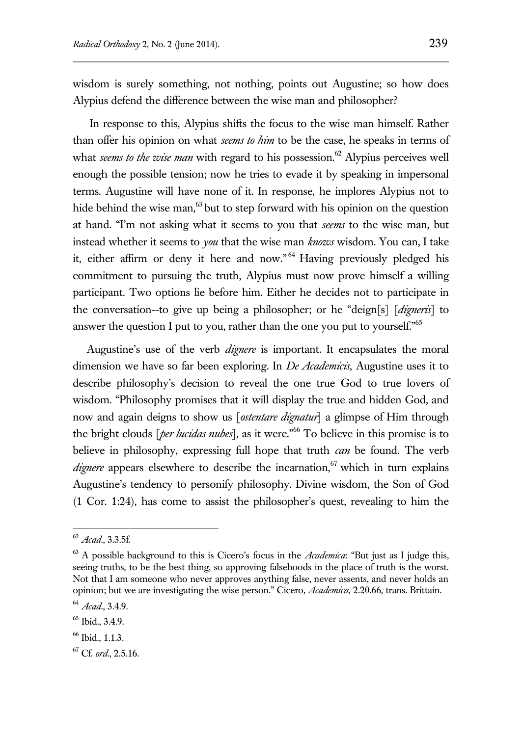wisdom is surely something, not nothing, points out Augustine; so how does Alypius defend the difference between the wise man and philosopher?

In response to this, Alypius shifts the focus to the wise man himself. Rather than offer his opinion on what *seems to him* to be the case, he speaks in terms of what *seems to the wise man* with regard to his possession.<sup>62</sup> Alypius perceives well enough the possible tension; now he tries to evade it by speaking in impersonal terms. Augustine will have none of it. In response, he implores Alypius not to hide behind the wise man, $63$  but to step forward with his opinion on the question at hand. "I'm not asking what it seems to you that *seems* to the wise man, but instead whether it seems to *you* that the wise man *knows* wisdom. You can, I take it, either affirm or deny it here and now."<sup>64</sup> Having previously pledged his commitment to pursuing the truth, Alypius must now prove himself a willing participant. Two options lie before him. Either he decides not to participate in the conversation--to give up being a philosopher; or he "deign[s] [*digneris*] to answer the question I put to you, rather than the one you put to yourself."<sup>65</sup>

Augustine's use of the verb *dignere* is important. It encapsulates the moral dimension we have so far been exploring. In *De Academicis*, Augustine uses it to describe philosophy's decision to reveal the one true God to true lovers of wisdom. "Philosophy promises that it will display the true and hidden God, and now and again deigns to show us [*ostentare dignatur*] a glimpse of Him through the bright clouds [*per lucidas nubes*], as it were."<sup>66</sup> To believe in this promise is to believe in philosophy, expressing full hope that truth *can* be found. The verb *dignere* appears elsewhere to describe the incarnation,<sup>67</sup> which in turn explains Augustine's tendency to personify philosophy. Divine wisdom, the Son of God (1 Cor. 1:24), has come to assist the philosopher's quest, revealing to him the

<sup>62</sup> *Acad*., 3.3.5f.

 $^{63}$  A possible background to this is Cicero's focus in the *Academica*: "But just as I judge this, seeing truths, to be the best thing, so approving falsehoods in the place of truth is the worst. Not that I am someone who never approves anything false, never assents, and never holds an opinion; but we are investigating the wise person." Cicero, *Academica*, 2.20.66, trans. Brittain.

<sup>64</sup> *Acad*., 3.4.9.

<sup>65</sup> Ibid., 3.4.9.

<sup>66</sup> Ibid., 1.1.3.

<sup>67</sup> Cf. *ord*., 2.5.16.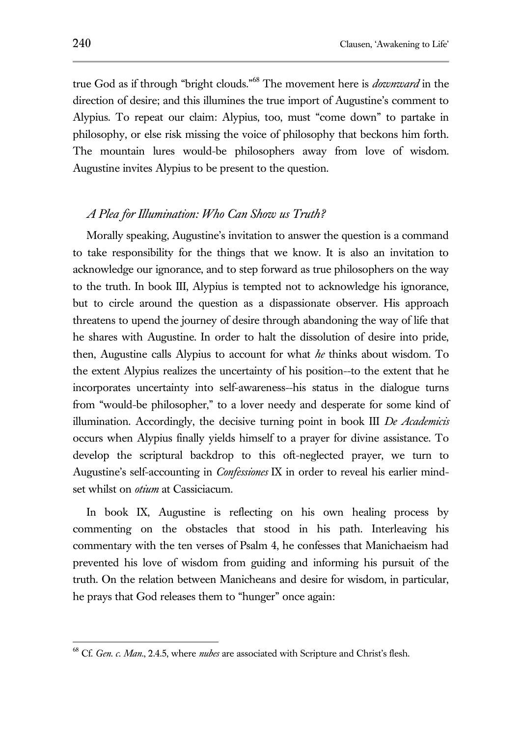true God as if through "bright clouds." <sup>68</sup> The movement here is *downward* in the direction of desire; and this illumines the true import of Augustine's comment to Alypius. To repeat our claim: Alypius, too, must "come down" to partake in philosophy, or else risk missing the voice of philosophy that beckons him forth. The mountain lures would-be philosophers away from love of wisdom. Augustine invites Alypius to be present to the question.

#### *A Plea for Illumination: Who Can Show us Truth?*

Morally speaking, Augustine's invitation to answer the question is a command to take responsibility for the things that we know. It is also an invitation to acknowledge our ignorance, and to step forward as true philosophers on the way to the truth. In book III, Alypius is tempted not to acknowledge his ignorance, but to circle around the question as a dispassionate observer. His approach threatens to upend the journey of desire through abandoning the way of life that he shares with Augustine. In order to halt the dissolution of desire into pride, then, Augustine calls Alypius to account for what *he* thinks about wisdom. To the extent Alypius realizes the uncertainty of his position--to the extent that he incorporates uncertainty into self-awareness--his status in the dialogue turns from "would-be philosopher," to a lover needy and desperate for some kind of illumination. Accordingly, the decisive turning point in book III *De Academicis*  occurs when Alypius finally yields himself to a prayer for divine assistance. To develop the scriptural backdrop to this oft-neglected prayer, we turn to Augustine's self-accounting in *Confessiones* IX in order to reveal his earlier mindset whilst on *otium* at Cassiciacum.

In book IX, Augustine is reflecting on his own healing process by commenting on the obstacles that stood in his path. Interleaving his commentary with the ten verses of Psalm 4, he confesses that Manichaeism had prevented his love of wisdom from guiding and informing his pursuit of the truth. On the relation between Manicheans and desire for wisdom, in particular, he prays that God releases them to "hunger" once again:

<sup>68</sup> Cf. *Gen. c. Man*., 2.4.5, where *nubes* are associated with Scripture and Christ's flesh.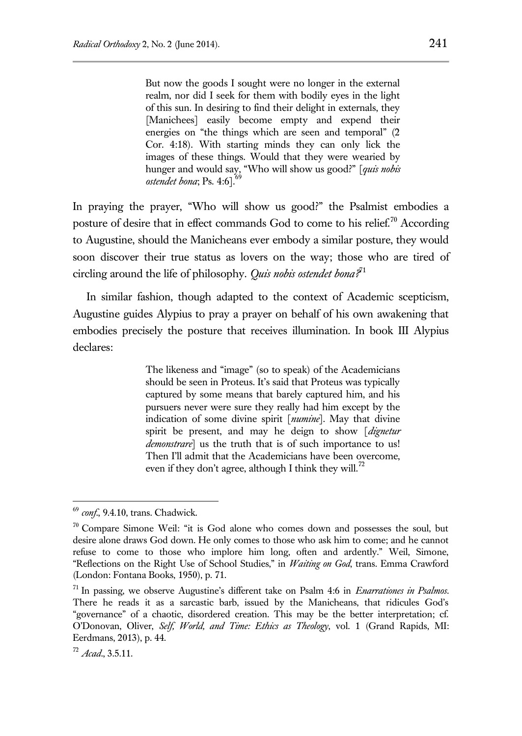But now the goods I sought were no longer in the external realm, nor did I seek for them with bodily eyes in the light of this sun. In desiring to find their delight in externals, they [Manichees] easily become empty and expend their energies on "the things which are seen and temporal" (2 Cor. 4:18). With starting minds they can only lick the images of these things. Would that they were wearied by hunger and would say, "Who will show us good?" [*quis nobis ostendet bona*; Ps. 4:6].

In praying the prayer, "Who will show us good?" the Psalmist embodies a posture of desire that in effect commands God to come to his relief.<sup>70</sup> According to Augustine, should the Manicheans ever embody a similar posture, they would soon discover their true status as lovers on the way; those who are tired of circling around the life of philosophy. *Quis nobis ostendet bona?*<sup>71</sup>

In similar fashion, though adapted to the context of Academic scepticism, Augustine guides Alypius to pray a prayer on behalf of his own awakening that embodies precisely the posture that receives illumination. In book III Alypius declares:

> The likeness and "image" (so to speak) of the Academicians should be seen in Proteus. It's said that Proteus was typically captured by some means that barely captured him, and his pursuers never were sure they really had him except by the indication of some divine spirit [*numine*]. May that divine spirit be present, and may he deign to show [*dignetur demonstrare*] us the truth that is of such importance to us! Then I'll admit that the Academicians have been overcome, even if they don't agree, although I think they will.<sup>72</sup>

<sup>69</sup> *conf*., 9.4.10, trans. Chadwick.

 $70$  Compare Simone Weil: "it is God alone who comes down and possesses the soul, but desire alone draws God down. He only comes to those who ask him to come; and he cannot refuse to come to those who implore him long, often and ardently." Weil, Simone, "Reflections on the Right Use of School Studies," in *Waiting on God*, trans. Emma Crawford (London: Fontana Books, 1950), p. 71.

<sup>71</sup> In passing, we observe Augustine's different take on Psalm 4:6 in *Enarrationes in Psalmos*. There he reads it as a sarcastic barb, issued by the Manicheans, that ridicules God's "governance" of a chaotic, disordered creation. This may be the better interpretation; cf. O'Donovan, Oliver, *Self, World, and Time: Ethics as Theology*, vol. 1 (Grand Rapids, MI: Eerdmans, 2013), p. 44.

<sup>72</sup> *Acad*., 3.5.11.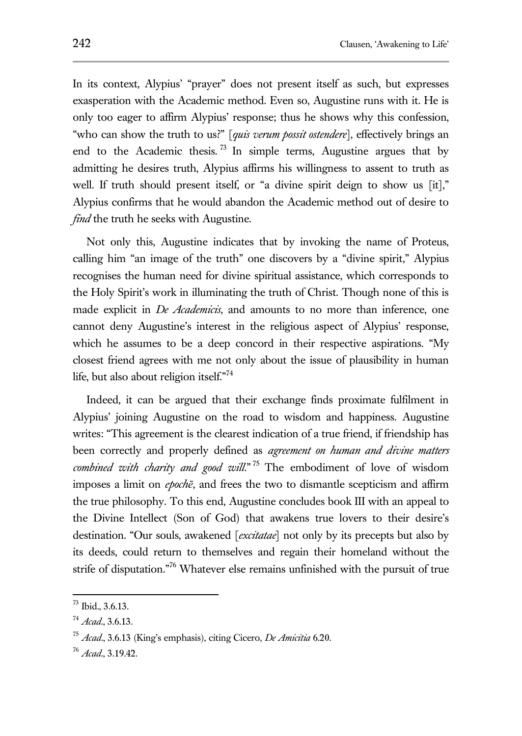In its context, Alypius' "prayer" does not present itself as such, but expresses exasperation with the Academic method. Even so, Augustine runs with it. He is only too eager to affirm Alypius' response; thus he shows why this confession, "who can show the truth to us?" [*quis verum possit ostendere*], effectively brings an end to the Academic thesis. <sup>73</sup> In simple terms, Augustine argues that by admitting he desires truth, Alypius affirms his willingness to assent to truth as well. If truth should present itself, or "a divine spirit deign to show us [it]," Alypius confirms that he would abandon the Academic method out of desire to *find* the truth he seeks with Augustine.

Not only this, Augustine indicates that by invoking the name of Proteus, calling him "an image of the truth" one discovers by a "divine spirit," Alypius recognises the human need for divine spiritual assistance, which corresponds to the Holy Spirit's work in illuminating the truth of Christ. Though none of this is made explicit in *De Academicis*, and amounts to no more than inference, one cannot deny Augustine's interest in the religious aspect of Alypius' response, which he assumes to be a deep concord in their respective aspirations. "My closest friend agrees with me not only about the issue of plausibility in human life, but also about religion itself."<sup>74</sup>

Indeed, it can be argued that their exchange finds proximate fulfilment in Alypius' joining Augustine on the road to wisdom and happiness. Augustine writes: "This agreement is the clearest indication of a true friend, if friendship has been correctly and properly defined as *agreement on human and divine matters combined with charity and good will*." <sup>75</sup> The embodiment of love of wisdom imposes a limit on *epochē*, and frees the two to dismantle scepticism and affirm the true philosophy. To this end, Augustine concludes book III with an appeal to the Divine Intellect (Son of God) that awakens true lovers to their desire's destination. "Our souls, awakened [*excitatae*] not only by its precepts but also by its deeds, could return to themselves and regain their homeland without the strife of disputation."<sup>76</sup> Whatever else remains unfinished with the pursuit of true

 $^{73}$  Ibid., 3.6.13.

<sup>74</sup> *Acad*., 3.6.13.

<sup>75</sup> *Acad*., 3.6.13 (King's emphasis), citing Cicero, *De Amicitia* 6.20.

<sup>76</sup> *Acad*., 3.19.42.